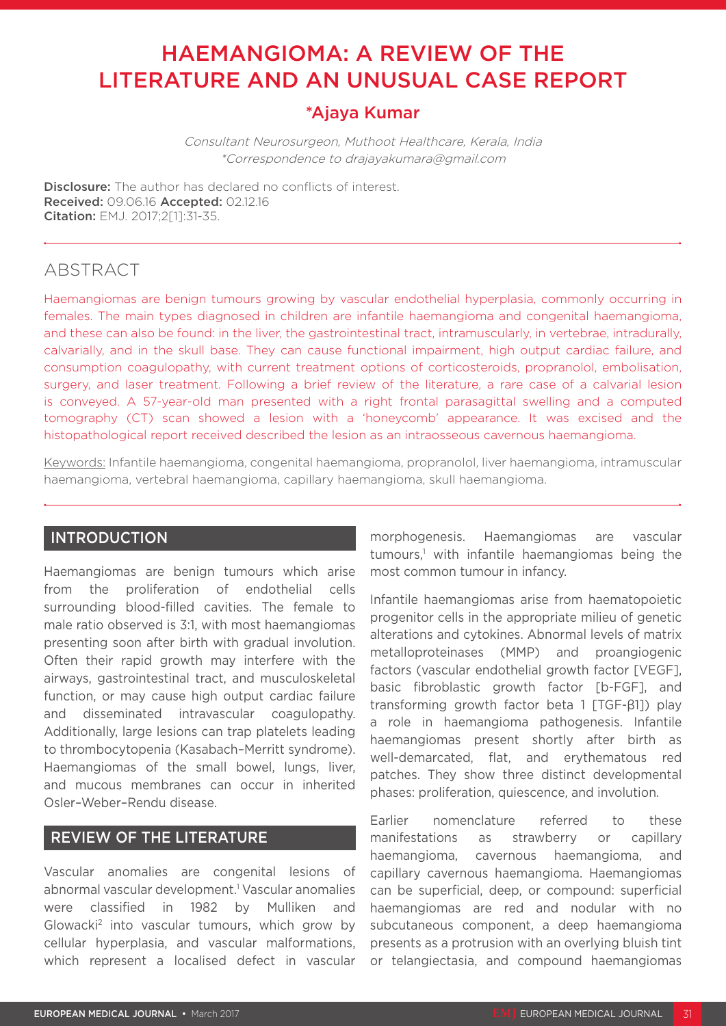# HAEMANGIOMA: A REVIEW OF THE LITERATURE AND AN UNUSUAL CASE REPORT

# \*Ajaya Kumar

Consultant Neurosurgeon, Muthoot Healthcare, Kerala, India \*Correspondence to drajayakumara@gmail.com

**Disclosure:** The author has declared no conflicts of interest. Received: 09.06.16 Accepted: 02.12.16 Citation: EMJ. 2017;2[1]:31-35.

# ABSTRACT

Haemangiomas are benign tumours growing by vascular endothelial hyperplasia, commonly occurring in females. The main types diagnosed in children are infantile haemangioma and congenital haemangioma, and these can also be found: in the liver, the gastrointestinal tract, intramuscularly, in vertebrae, intradurally, calvarially, and in the skull base. They can cause functional impairment, high output cardiac failure, and consumption coagulopathy, with current treatment options of corticosteroids, propranolol, embolisation, surgery, and laser treatment. Following a brief review of the literature, a rare case of a calvarial lesion is conveyed. A 57-year-old man presented with a right frontal parasagittal swelling and a computed tomography (CT) scan showed a lesion with a 'honeycomb' appearance. It was excised and the histopathological report received described the lesion as an intraosseous cavernous haemangioma.

Keywords: Infantile haemangioma, congenital haemangioma, propranolol, liver haemangioma, intramuscular haemangioma, vertebral haemangioma, capillary haemangioma, skull haemangioma.

## INTRODUCTION

Haemangiomas are benign tumours which arise from the proliferation of endothelial cells surrounding blood-filled cavities. The female to male ratio observed is 3:1, with most haemangiomas presenting soon after birth with gradual involution. Often their rapid growth may interfere with the airways, gastrointestinal tract, and musculoskeletal function, or may cause high output cardiac failure and disseminated intravascular coagulopathy. Additionally, large lesions can trap platelets leading to thrombocytopenia (Kasabach–Merritt syndrome). Haemangiomas of the small bowel, lungs, liver, and mucous membranes can occur in inherited Osler–Weber–Rendu disease.

## REVIEW OF THE LITERATURE

Vascular anomalies are congenital lesions of abnormal vascular development.1 Vascular anomalies were classified in 1982 by Mulliken and Glowacki2 into vascular tumours, which grow by cellular hyperplasia, and vascular malformations, which represent a localised defect in vascular morphogenesis. Haemangiomas are vascular tumours,<sup>1</sup> with infantile haemangiomas being the most common tumour in infancy.

Infantile haemangiomas arise from haematopoietic progenitor cells in the appropriate milieu of genetic alterations and cytokines. Abnormal levels of matrix metalloproteinases (MMP) and proangiogenic factors (vascular endothelial growth factor [VEGF], basic fibroblastic growth factor [b-FGF], and transforming growth factor beta 1 [TGF-β1]) play a role in haemangioma pathogenesis. Infantile haemangiomas present shortly after birth as well-demarcated, flat, and erythematous red patches. They show three distinct developmental phases: proliferation, quiescence, and involution.

Earlier nomenclature referred to these manifestations as strawberry or capillary haemangioma, cavernous haemangioma, and capillary cavernous haemangioma. Haemangiomas can be superficial, deep, or compound: superficial haemangiomas are red and nodular with no subcutaneous component, a deep haemangioma presents as a protrusion with an overlying bluish tint or telangiectasia, and compound haemangiomas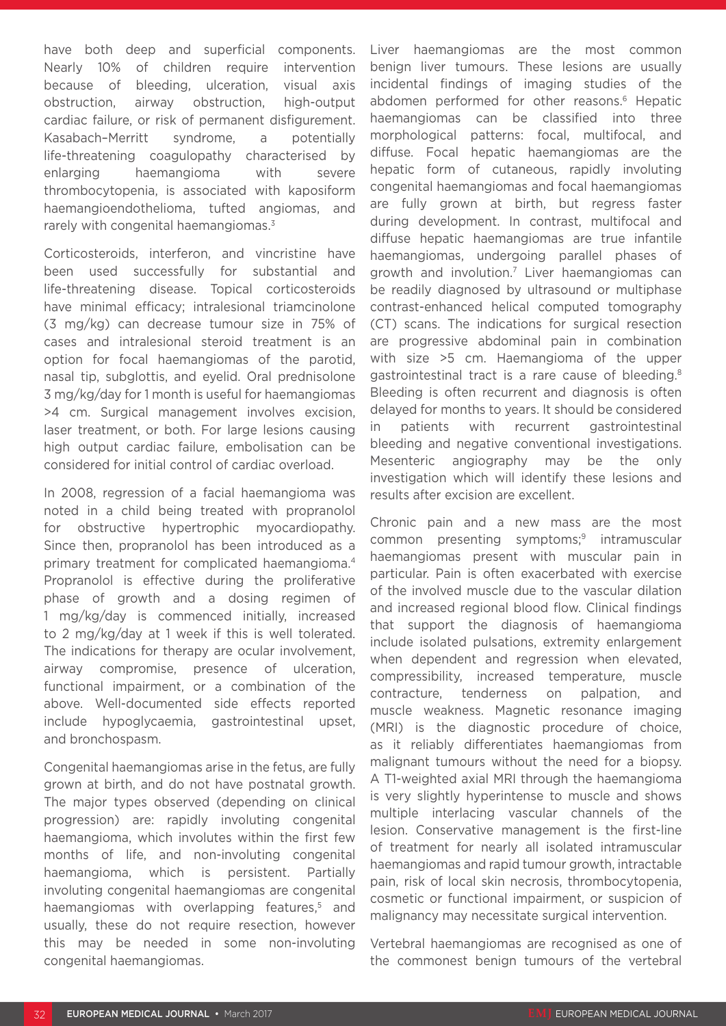have both deep and superficial components. Nearly 10% of children require intervention because of bleeding, ulceration, visual axis obstruction, airway obstruction, high-output cardiac failure, or risk of permanent disfigurement. Kasabach–Merritt syndrome, a potentially life-threatening coagulopathy characterised by enlarging haemangioma with severe thrombocytopenia, is associated with kaposiform haemangioendothelioma, tufted angiomas, and rarely with congenital haemangiomas.<sup>3</sup>

Corticosteroids, interferon, and vincristine have been used successfully for substantial and life-threatening disease. Topical corticosteroids have minimal efficacy; intralesional triamcinolone (3 mg/kg) can decrease tumour size in 75% of cases and intralesional steroid treatment is an option for focal haemangiomas of the parotid, nasal tip, subglottis, and eyelid. Oral prednisolone 3 mg/kg/day for 1 month is useful for haemangiomas >4 cm. Surgical management involves excision, laser treatment, or both. For large lesions causing high output cardiac failure, embolisation can be considered for initial control of cardiac overload.

In 2008, regression of a facial haemangioma was noted in a child being treated with propranolol for obstructive hypertrophic myocardiopathy. Since then, propranolol has been introduced as a primary treatment for complicated haemangioma.4 Propranolol is effective during the proliferative phase of growth and a dosing regimen of 1 mg/kg/day is commenced initially, increased to 2 mg/kg/day at 1 week if this is well tolerated. The indications for therapy are ocular involvement, airway compromise, presence of ulceration, functional impairment, or a combination of the above. Well-documented side effects reported include hypoglycaemia, gastrointestinal upset, and bronchospasm.

Congenital haemangiomas arise in the fetus, are fully grown at birth, and do not have postnatal growth. The major types observed (depending on clinical progression) are: rapidly involuting congenital haemangioma, which involutes within the first few months of life, and non-involuting congenital haemangioma, which is persistent. Partially involuting congenital haemangiomas are congenital haemangiomas with overlapping features,<sup>5</sup> and usually, these do not require resection, however this may be needed in some non-involuting congenital haemangiomas.

Liver haemangiomas are the most common benign liver tumours. These lesions are usually incidental findings of imaging studies of the abdomen performed for other reasons.<sup>6</sup> Hepatic haemangiomas can be classified into three morphological patterns: focal, multifocal, and diffuse. Focal hepatic haemangiomas are the hepatic form of cutaneous, rapidly involuting congenital haemangiomas and focal haemangiomas are fully grown at birth, but regress faster during development. In contrast, multifocal and diffuse hepatic haemangiomas are true infantile haemangiomas, undergoing parallel phases of growth and involution.7 Liver haemangiomas can be readily diagnosed by ultrasound or multiphase contrast-enhanced helical computed tomography (CT) scans. The indications for surgical resection are progressive abdominal pain in combination with size >5 cm. Haemangioma of the upper gastrointestinal tract is a rare cause of bleeding.<sup>8</sup> Bleeding is often recurrent and diagnosis is often delayed for months to years. It should be considered in patients with recurrent gastrointestinal bleeding and negative conventional investigations. Mesenteric angiography may be the only investigation which will identify these lesions and results after excision are excellent.

Chronic pain and a new mass are the most common presenting symptoms;<sup>9</sup> intramuscular haemangiomas present with muscular pain in particular. Pain is often exacerbated with exercise of the involved muscle due to the vascular dilation and increased regional blood flow. Clinical findings that support the diagnosis of haemangioma include isolated pulsations, extremity enlargement when dependent and regression when elevated, compressibility, increased temperature, muscle contracture, tenderness on palpation, and muscle weakness. Magnetic resonance imaging (MRI) is the diagnostic procedure of choice, as it reliably differentiates haemangiomas from malignant tumours without the need for a biopsy. A T1-weighted axial MRI through the haemangioma is very slightly hyperintense to muscle and shows multiple interlacing vascular channels of the lesion. Conservative management is the first-line of treatment for nearly all isolated intramuscular haemangiomas and rapid tumour growth, intractable pain, risk of local skin necrosis, thrombocytopenia, cosmetic or functional impairment, or suspicion of malignancy may necessitate surgical intervention.

Vertebral haemangiomas are recognised as one of the commonest benign tumours of the vertebral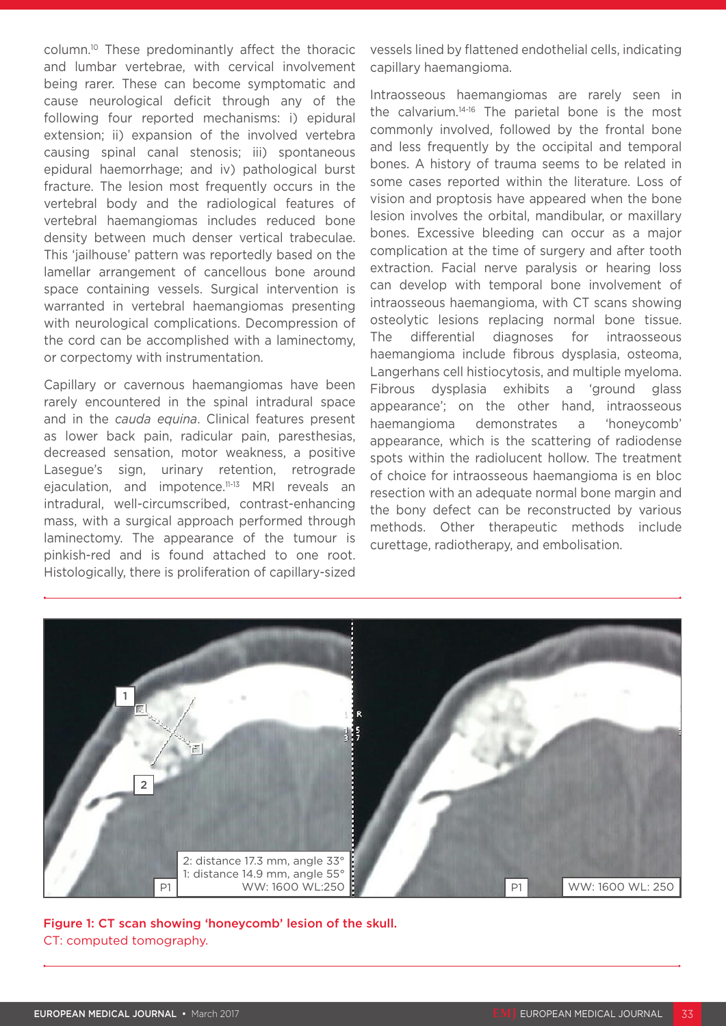column.10 These predominantly affect the thoracic and lumbar vertebrae, with cervical involvement being rarer. These can become symptomatic and cause neurological deficit through any of the following four reported mechanisms: i) epidural extension; ii) expansion of the involved vertebra causing spinal canal stenosis; iii) spontaneous epidural haemorrhage; and iv) pathological burst fracture. The lesion most frequently occurs in the vertebral body and the radiological features of vertebral haemangiomas includes reduced bone density between much denser vertical trabeculae. This 'jailhouse' pattern was reportedly based on the lamellar arrangement of cancellous bone around space containing vessels. Surgical intervention is warranted in vertebral haemangiomas presenting with neurological complications. Decompression of the cord can be accomplished with a laminectomy, or corpectomy with instrumentation.

Capillary or cavernous haemangiomas have been rarely encountered in the spinal intradural space and in the *cauda equina*. Clinical features present as lower back pain, radicular pain, paresthesias, decreased sensation, motor weakness, a positive Lasegue's sign, urinary retention, retrograde ejaculation, and impotence.11-13 MRI reveals an intradural, well-circumscribed, contrast-enhancing mass, with a surgical approach performed through laminectomy. The appearance of the tumour is pinkish-red and is found attached to one root. Histologically, there is proliferation of capillary-sized vessels lined by flattened endothelial cells, indicating capillary haemangioma.

Intraosseous haemangiomas are rarely seen in the calvarium.14-16 The parietal bone is the most commonly involved, followed by the frontal bone and less frequently by the occipital and temporal bones. A history of trauma seems to be related in some cases reported within the literature. Loss of vision and proptosis have appeared when the bone lesion involves the orbital, mandibular, or maxillary bones. Excessive bleeding can occur as a major complication at the time of surgery and after tooth extraction. Facial nerve paralysis or hearing loss can develop with temporal bone involvement of intraosseous haemangioma, with CT scans showing osteolytic lesions replacing normal bone tissue. The differential diagnoses for intraosseous haemangioma include fibrous dysplasia, osteoma, Langerhans cell histiocytosis, and multiple myeloma. Fibrous dysplasia exhibits a 'ground glass appearance'; on the other hand, intraosseous haemangioma demonstrates a 'honeycomb' appearance, which is the scattering of radiodense spots within the radiolucent hollow. The treatment of choice for intraosseous haemangioma is en bloc resection with an adequate normal bone margin and the bony defect can be reconstructed by various methods. Other therapeutic methods include curettage, radiotherapy, and embolisation.



Figure 1: CT scan showing 'honeycomb' lesion of the skull. CT: computed tomography.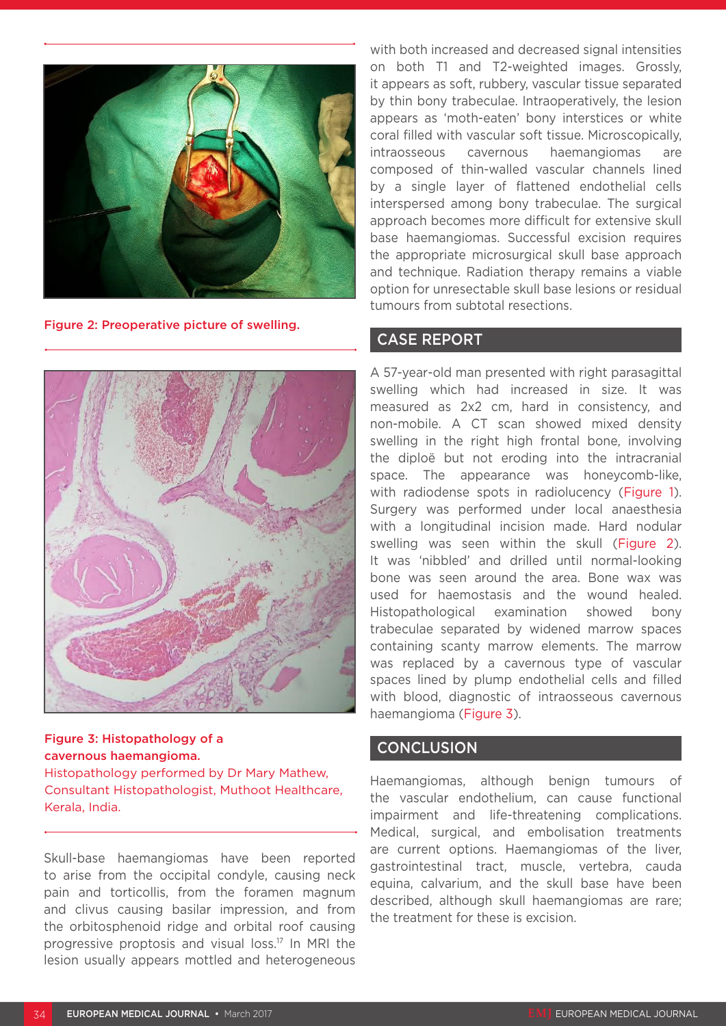

Figure 2: Preoperative picture of swelling.



Figure 3: Histopathology of a cavernous haemangioma. Histopathology performed by Dr Mary Mathew, Consultant Histopathologist, Muthoot Healthcare, Kerala, India.

Skull-base haemangiomas have been reported to arise from the occipital condyle, causing neck pain and torticollis, from the foramen magnum and clivus causing basilar impression, and from the orbitosphenoid ridge and orbital roof causing progressive proptosis and visual loss.17 In MRI the lesion usually appears mottled and heterogeneous

with both increased and decreased signal intensities on both T1 and T2-weighted images. Grossly, it appears as soft, rubbery, vascular tissue separated by thin bony trabeculae. Intraoperatively, the lesion appears as 'moth-eaten' bony interstices or white coral filled with vascular soft tissue. Microscopically, intraosseous cavernous haemangiomas are composed of thin-walled vascular channels lined by a single layer of flattened endothelial cells interspersed among bony trabeculae. The surgical approach becomes more difficult for extensive skull base haemangiomas. Successful excision requires the appropriate microsurgical skull base approach and technique. Radiation therapy remains a viable option for unresectable skull base lesions or residual tumours from subtotal resections.

### CASE REPORT

A 57-year-old man presented with right parasagittal swelling which had increased in size. It was measured as 2x2 cm, hard in consistency, and non-mobile. A CT scan showed mixed density swelling in the right high frontal bone, involving the diploë but not eroding into the intracranial space. The appearance was honeycomb-like, with radiodense spots in radiolucency (Figure 1). Surgery was performed under local anaesthesia with a longitudinal incision made. Hard nodular swelling was seen within the skull (Figure 2). It was 'nibbled' and drilled until normal-looking bone was seen around the area. Bone wax was used for haemostasis and the wound healed. Histopathological examination showed bony trabeculae separated by widened marrow spaces containing scanty marrow elements. The marrow was replaced by a cavernous type of vascular spaces lined by plump endothelial cells and filled with blood, diagnostic of intraosseous cavernous haemangioma (Figure 3).

### **CONCLUSION**

Haemangiomas, although benign tumours of the vascular endothelium, can cause functional impairment and life-threatening complications. Medical, surgical, and embolisation treatments are current options. Haemangiomas of the liver, gastrointestinal tract, muscle, vertebra, cauda equina, calvarium, and the skull base have been described, although skull haemangiomas are rare; the treatment for these is excision.